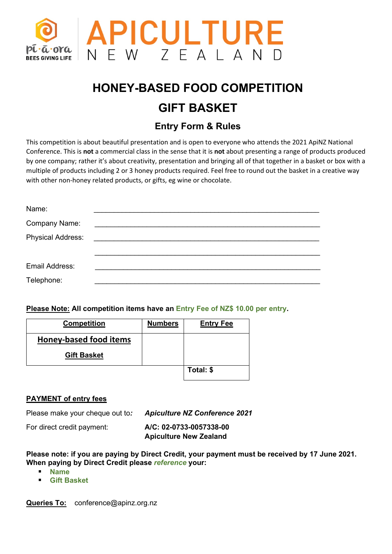

# **HONEY-BASED FOOD COMPETITION GIFT BASKET**

## **Entry Form & Rules**

This competition is about beautiful presentation and is open to everyone who attends the 2021 ApiNZ National Conference. This is **not** a commercial class in the sense that it is **not** about presenting a range of products produced by one company; rather it's about creativity, presentation and bringing all of that together in a basket or box with a multiple of products including 2 or 3 honey products required. Feel free to round out the basket in a creative way with other non-honey related products, or gifts, eg wine or chocolate.

| Name:                    |                                                                                                                                                                                                                                      |  |  |
|--------------------------|--------------------------------------------------------------------------------------------------------------------------------------------------------------------------------------------------------------------------------------|--|--|
| Company Name:            | <u> 1989 - John Stein, Amerikaansk politiker (</u>                                                                                                                                                                                   |  |  |
| <b>Physical Address:</b> | <u> El antiga de la contenentación de la contenentación de la contenentación de la contenentación de la contenentación de la contenentación de la contenentación de la contenentación de la contenentación de la contenentación </u> |  |  |
|                          |                                                                                                                                                                                                                                      |  |  |
| Email Address:           |                                                                                                                                                                                                                                      |  |  |
| Telephone:               |                                                                                                                                                                                                                                      |  |  |

**Please Note: All competition items have an Entry Fee of NZ\$ 10.00 per entry.**

| <b>Competition</b>            | <b>Numbers</b> | <b>Entry Fee</b> |
|-------------------------------|----------------|------------------|
| <b>Honey-based food items</b> |                |                  |
| <b>Gift Basket</b>            |                |                  |
|                               |                | Total: \$        |

#### **PAYMENT of entry fees**

Please make your cheque out to*: Apiculture NZ Conference 2021*

| For direct credit payment: | A/C: 02-0733-0057338-00       |  |
|----------------------------|-------------------------------|--|
|                            | <b>Apiculture New Zealand</b> |  |

**Please note: if you are paying by Direct Credit, your payment must be received by 17 June 2021. When paying by Direct Credit please** *reference* **your:**

- **Name**
- **Gift Basket**

**Queries To:** conference@apinz.org.nz